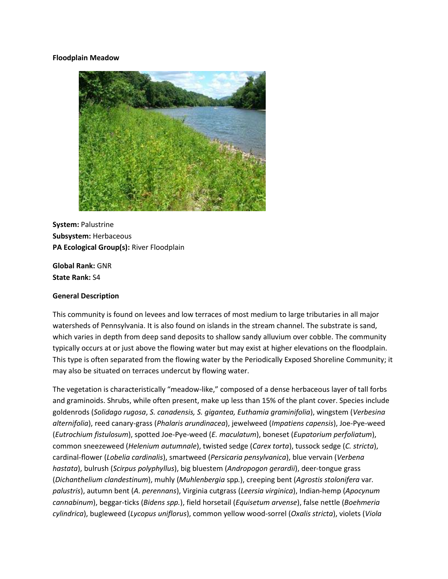#### **Floodplain Meadow**



**System:** Palustrine **Subsystem:** Herbaceous **PA Ecological Group(s):** River Floodplain

**Global Rank:** GNR **State Rank:** S4

#### **General Description**

This community is found on levees and low terraces of most medium to large tributaries in all major watersheds of Pennsylvania. It is also found on islands in the stream channel. The substrate is sand, which varies in depth from deep sand deposits to shallow sandy alluvium over cobble. The community typically occurs at or just above the flowing water but may exist at higher elevations on the floodplain. This type is often separated from the flowing water by the Periodically Exposed Shoreline Community; it may also be situated on terraces undercut by flowing water.

The vegetation is characteristically "meadow-like," composed of a dense herbaceous layer of tall forbs and graminoids. Shrubs, while often present, make up less than 15% of the plant cover. Species include goldenrods (*Solidago rugosa*, *S. canadensis, S. gigantea, Euthamia graminifolia*), wingstem (*Verbesina alternifolia*), reed canary-grass (*Phalaris arundinacea*), jewelweed (*Impatiens capensis*), Joe-Pye-weed (*Eutrochium fistulosum*), spotted Joe-Pye-weed (*E. maculatum*), boneset (*Eupatorium perfoliatum*), common sneezeweed (*Helenium autumnale*), twisted sedge (*Carex torta*), tussock sedge (*C. stricta*), cardinal-flower (*Lobelia cardinalis*), smartweed (*Persicaria pensylvanica*), blue vervain (*Verbena hastata*), bulrush (*Scirpus polyphyllus*), big bluestem (*Andropogon gerardii*), deer-tongue grass (*Dichanthelium clandestinum*), muhly (*Muhlenbergia* spp*.*), creeping bent (*Agrostis stolonifera* var*. palustris*), autumn bent (*A. perennans*), Virginia cutgrass (*Leersia virginica*), Indian-hemp (*Apocynum cannabinum*), beggar-ticks (*Bidens spp.*), field horsetail (*Equisetum arvense*), false nettle (*Boehmeria cylindrica*), bugleweed (*Lycopus uniflorus*), common yellow wood-sorrel (*Oxalis stricta*), violets (*Viola*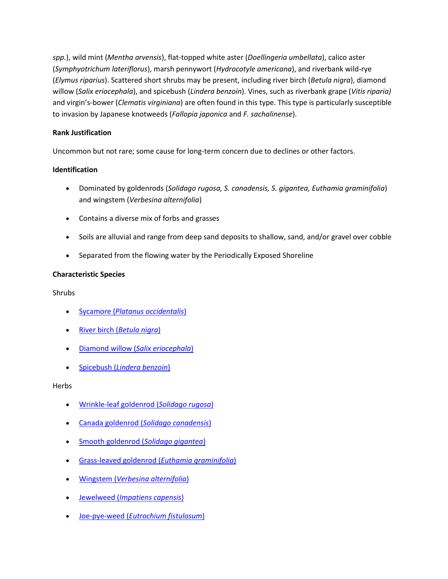*spp.*), wild mint (*Mentha arvensis*), flat-topped white aster (*Doellingeria umbellata*), calico aster (*Symphyotrichum lateriflorus*), marsh pennywort (*Hydrocotyle americana*), and riverbank wild-rye (*Elymus riparius*). Scattered short shrubs may be present, including river birch (*Betula nigra*), diamond willow (*Salix eriocephala*), and spicebush (*Lindera benzoin*). Vines, such as riverbank grape (*Vitis riparia)* and virgin's-bower (*Clematis virginiana*) are often found in this type. This type is particularly susceptible to invasion by Japanese knotweeds (*Fallopia japonica* and *F. sachalinense*).

# **Rank Justification**

Uncommon but not rare; some cause for long-term concern due to declines or other factors.

## **Identification**

- Dominated by goldenrods (*Solidago rugosa, S. canadensis, S. gigantea, Euthamia graminifolia*) and wingstem (*Verbesina alternifolia*)
- Contains a diverse mix of forbs and grasses
- Soils are alluvial and range from deep sand deposits to shallow, sand, and/or gravel over cobble
- Separated from the flowing water by the Periodically Exposed Shoreline

## **Characteristic Species**

Shrubs

- Sycamore (*[Platanus occidentalis](http://www.natureserve.org/explorer/servlet/NatureServe?searchName=Platanus+occidentalis)*)
- River birch (*[Betula nigra](http://www.natureserve.org/explorer/servlet/NatureServe?searchName=Betula+nigra)*)
- Diamond willow (*[Salix eriocephala](http://www.natureserve.org/explorer/servlet/NatureServe?searchName=Salix+eriocephala)*)
- Spicebush (*[Lindera benzoin](http://www.natureserve.org/explorer/servlet/NatureServe?searchName=Lindera+benzoin)*)

**Herbs** 

- [Wrinkle-leaf goldenrod \(](http://www.natureserve.org/explorer/servlet/NatureServe?searchName=Solidago+rugosa)*Solidago rugosa*)
- Canada goldenrod (*[Solidago canadensis](http://www.natureserve.org/explorer/servlet/NatureServe?searchName=Solidago+canadensis)*)
- [Smooth goldenrod \(](http://www.natureserve.org/explorer/servlet/NatureServe?searchName=Solidago+gigantea)*Solidago gigantea*)
- [Grass-leaved goldenrod \(](http://www.natureserve.org/explorer/servlet/NatureServe?searchName=Euthamia+graminifolia+var.+graminifolia)*Euthamia graminifolia*)
- Wingstem (*[Verbesina alternifolia](http://www.natureserve.org/explorer/servlet/NatureServe?searchName=Verbesina+alternifolia)*)
- Jewelweed (*[Impatiens capensis](http://www.natureserve.org/explorer/servlet/NatureServe?searchName=Impatiens+capensis)*)
- Joe-pye-weed (*[Eutrochium fistulosum](http://www.natureserve.org/explorer/servlet/NatureServe?searchName=Eupatorium+fistulosum)*)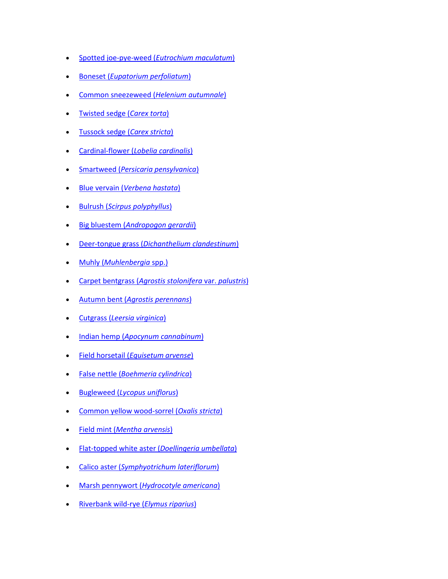- [Spotted joe-pye-weed \(](http://www.natureserve.org/explorer/servlet/NatureServe?searchName=Eupatorium+maculatum)*Eutrochium maculatum*)
- Boneset (*[Eupatorium perfoliatum](http://www.natureserve.org/explorer/servlet/NatureServe?searchName=Eupatorium+perfoliatum)*)
- [Common sneezeweed \(](http://www.natureserve.org/explorer/servlet/NatureServe?searchName=Helenium+autumnale)*Helenium autumnale*)
- [Twisted sedge \(](http://www.natureserve.org/explorer/servlet/NatureServe?searchName=Carex+torta)*Carex torta*)
- [Tussock sedge \(](http://www.natureserve.org/explorer/servlet/NatureServe?searchName=Carex+stricta)*Carex stricta*)
- Cardinal-flower (*[Lobelia cardinalis](http://www.natureserve.org/explorer/servlet/NatureServe?searchName=Lobelia+cardinalis)*)
- Smartweed (*[Persicaria pensylvanica](http://www.natureserve.org/explorer/servlet/NatureServe?searchName=Polygonum+pensylvanicum%20%20)*)
- Blue vervain (*[Verbena hastata](http://www.natureserve.org/explorer/servlet/NatureServe?searchName=Verbena+hastata)*)
- Bulrush (*[Scirpus polyphyllus](http://www.natureserve.org/explorer/servlet/NatureServe?searchName=Scirpus+polyphyllus)*)
- Big bluestem (*[Andropogon gerardii](http://www.natureserve.org/explorer/servlet/NatureServe?searchName=Andropogon+gerardii)*)
- Deer-tongue grass (*[Dichanthelium clandestinum](http://www.natureserve.org/explorer/servlet/NatureServe?searchName=Dichanthelium+clandestinum)*)
- Muhly (*[Muhlenbergia](http://www.natureserve.org/explorer/servlet/NatureServe?searchSciOrCommonName=muhlenbergia)* spp.)
- Carpet bentgrass (*[Agrostis stolonifera](http://www.natureserve.org/explorer/servlet/NatureServe?searchName=Agrostis+stolonifera+var.+palustris)* var. *palustris*)
- Autumn bent (*[Agrostis perennans](http://www.natureserve.org/explorer/servlet/NatureServe?searchName=Agrostis+perennans)*)
- Cutgrass (*[Leersia virginica](http://www.natureserve.org/explorer/servlet/NatureServe?searchName=Leersia+virginica)*)
- Indian hemp (*[Apocynum cannabinum](http://www.natureserve.org/explorer/servlet/NatureServe?searchName=Apocynum+cannabinum)*)
- Field horsetail (*[Equisetum arvense](http://www.natureserve.org/explorer/servlet/NatureServe?searchName=Equisetum+arvense)*)
- False nettle (*[Boehmeria cylindrica](http://www.natureserve.org/explorer/servlet/NatureServe?searchName=Boehmeria+cylindrica)*)
- Bugleweed (*[Lycopus uniflorus](http://www.natureserve.org/explorer/servlet/NatureServe?searchName=Lycopus+uniflorus)*)
- [Common yellow wood-sorrel \(](http://www.natureserve.org/explorer/servlet/NatureServe?searchName=Oxalis+stricta)*Oxalis stricta*)
- Field mint (*[Mentha arvensis](http://www.natureserve.org/explorer/servlet/NatureServe?searchName=Mentha+arvensis)*)
- [Flat-topped white aster \(](http://www.natureserve.org/explorer/servlet/NatureServe?searchName=Doellingeria+umbellata)*Doellingeria umbellata*)
- Calico aster (*[Symphyotrichum lateriflorum](http://www.natureserve.org/explorer/servlet/NatureServe?searchName=Symphyotrichum+lateriflorum)*)
- Marsh pennywort (*[Hydrocotyle americana](http://www.natureserve.org/explorer/servlet/NatureServe?searchName=Hydrocotyle+americana)*)
- [Riverbank wild-rye \(](http://www.natureserve.org/explorer/servlet/NatureServe?searchName=Elymus+riparius)*Elymus riparius*)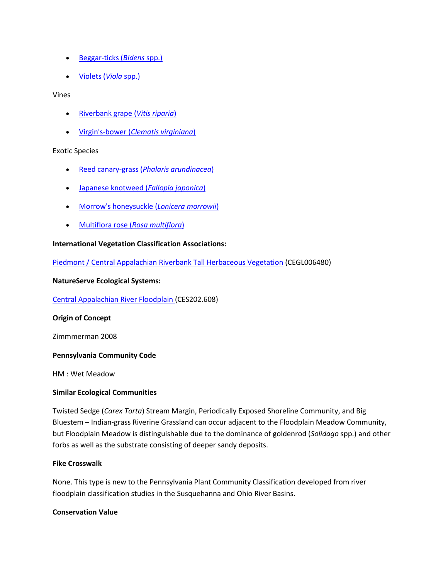- [Beggar-ticks \(](http://www.natureserve.org/explorer/servlet/NatureServe?searchSciOrCommonName=bidens)*Bidens* spp.)
- [Violets \(](http://www.natureserve.org/explorer/servlet/NatureServe?searchSciOrCommonName=viola)*Viola* spp.)

#### Vines

- [Riverbank grape \(](http://www.natureserve.org/explorer/servlet/NatureServe?searchName=Vitis+riparia)*Vitis riparia*)
- Virgin's-bower (*[Clematis virginiana](http://www.natureserve.org/explorer/servlet/NatureServe?searchName=Clematis+virginiana)*)

## Exotic Species

- Reed canary-grass (*[Phalaris arundinacea](http://www.natureserve.org/explorer/servlet/NatureServe?searchName=Phalaris+arundinacea)*)
- [Japanese knotweed \(](http://www.natureserve.org/explorer/servlet/NatureServe?searchName=Polygonum+cuspidatum)*Fallopia japonica*)
- [Morrow's honeysuckle \(](http://www.natureserve.org/explorer/servlet/NatureServe?searchName=Lonicera+morrowii)*Lonicera morrowii*)
- [Multiflora rose \(](http://www.natureserve.org/explorer/servlet/NatureServe?searchName=Rosa+multiflora)*Rosa multiflora*)

## **International Vegetation Classification Associations:**

[Piedmont / Central Appalachian Riverbank Tall Herbaceous Vegetation](http://www.natureserve.org/explorer/servlet/NatureServe?searchCommunityUid=ELEMENT_GLOBAL.2.795059) (CEGL006480)

#### **NatureServe Ecological Systems:**

[Central Appalachian River Floodplain \(](http://www.natureserve.org/explorer/servlet/NatureServe?searchSystemUid=ELEMENT_GLOBAL.2.723001)CES202.608)

## **Origin of Concept**

Zimmmerman 2008

## **Pennsylvania Community Code**

HM : Wet Meadow

## **Similar Ecological Communities**

Twisted Sedge (*Carex Torta*) Stream Margin, Periodically Exposed Shoreline Community, and Big Bluestem – Indian-grass Riverine Grassland can occur adjacent to the Floodplain Meadow Community, but Floodplain Meadow is distinguishable due to the dominance of goldenrod (*Solidago* spp.) and other forbs as well as the substrate consisting of deeper sandy deposits.

## **Fike Crosswalk**

None. This type is new to the Pennsylvania Plant Community Classification developed from river floodplain classification studies in the Susquehanna and Ohio River Basins.

## **Conservation Value**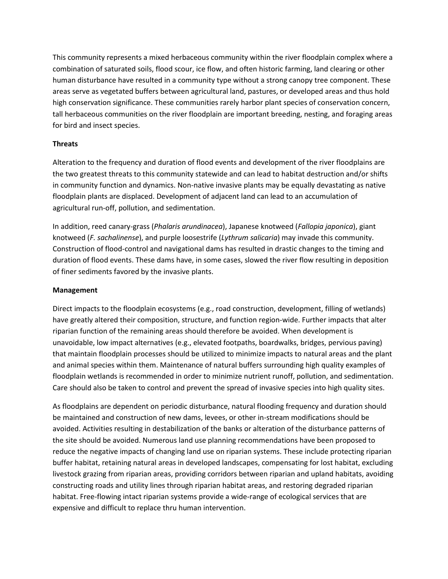This community represents a mixed herbaceous community within the river floodplain complex where a combination of saturated soils, flood scour, ice flow, and often historic farming, land clearing or other human disturbance have resulted in a community type without a strong canopy tree component. These areas serve as vegetated buffers between agricultural land, pastures, or developed areas and thus hold high conservation significance. These communities rarely harbor plant species of conservation concern, tall herbaceous communities on the river floodplain are important breeding, nesting, and foraging areas for bird and insect species.

## **Threats**

Alteration to the frequency and duration of flood events and development of the river floodplains are the two greatest threats to this community statewide and can lead to habitat destruction and/or shifts in community function and dynamics. Non-native invasive plants may be equally devastating as native floodplain plants are displaced. Development of adjacent land can lead to an accumulation of agricultural run-off, pollution, and sedimentation.

In addition, reed canary-grass (*Phalaris arundinacea*), Japanese knotweed (*Fallopia japonica*), giant knotweed (*F. sachalinense*), and purple loosestrife (*Lythrum salicaria*) may invade this community. Construction of flood-control and navigational dams has resulted in drastic changes to the timing and duration of flood events. These dams have, in some cases, slowed the river flow resulting in deposition of finer sediments favored by the invasive plants.

## **Management**

Direct impacts to the floodplain ecosystems (e.g., road construction, development, filling of wetlands) have greatly altered their composition, structure, and function region-wide. Further impacts that alter riparian function of the remaining areas should therefore be avoided. When development is unavoidable, low impact alternatives (e.g., elevated footpaths, boardwalks, bridges, pervious paving) that maintain floodplain processes should be utilized to minimize impacts to natural areas and the plant and animal species within them. Maintenance of natural buffers surrounding high quality examples of floodplain wetlands is recommended in order to minimize nutrient runoff, pollution, and sedimentation. Care should also be taken to control and prevent the spread of invasive species into high quality sites.

As floodplains are dependent on periodic disturbance, natural flooding frequency and duration should be maintained and construction of new dams, levees, or other in-stream modifications should be avoided. Activities resulting in destabilization of the banks or alteration of the disturbance patterns of the site should be avoided. Numerous land use planning recommendations have been proposed to reduce the negative impacts of changing land use on riparian systems. These include protecting riparian buffer habitat, retaining natural areas in developed landscapes, compensating for lost habitat, excluding livestock grazing from riparian areas, providing corridors between riparian and upland habitats, avoiding constructing roads and utility lines through riparian habitat areas, and restoring degraded riparian habitat. Free-flowing intact riparian systems provide a wide-range of ecological services that are expensive and difficult to replace thru human intervention.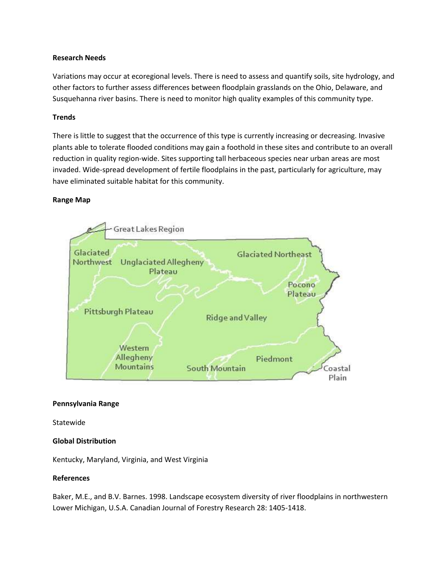#### **Research Needs**

Variations may occur at ecoregional levels. There is need to assess and quantify soils, site hydrology, and other factors to further assess differences between floodplain grasslands on the Ohio, Delaware, and Susquehanna river basins. There is need to monitor high quality examples of this community type.

#### **Trends**

There is little to suggest that the occurrence of this type is currently increasing or decreasing. Invasive plants able to tolerate flooded conditions may gain a foothold in these sites and contribute to an overall reduction in quality region-wide. Sites supporting tall herbaceous species near urban areas are most invaded. Wide-spread development of fertile floodplains in the past, particularly for agriculture, may have eliminated suitable habitat for this community.

#### **Range Map**



#### **Pennsylvania Range**

Statewide

## **Global Distribution**

Kentucky, Maryland, Virginia, and West Virginia

#### **References**

Baker, M.E., and B.V. Barnes. 1998. Landscape ecosystem diversity of river floodplains in northwestern Lower Michigan, U.S.A. Canadian Journal of Forestry Research 28: 1405-1418.